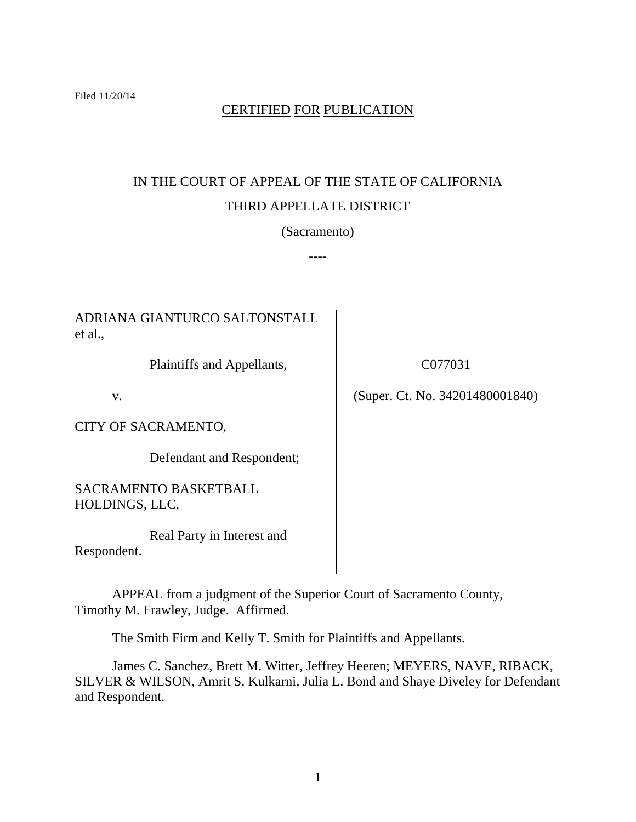# CERTIFIED FOR PUBLICATION

# IN THE COURT OF APPEAL OF THE STATE OF CALIFORNIA THIRD APPELLATE DISTRICT

(Sacramento)

----

ADRIANA GIANTURCO SALTONSTALL et al.,

Plaintiffs and Appellants,

v.

CITY OF SACRAMENTO,

Defendant and Respondent;

SACRAMENTO BASKETBALL HOLDINGS, LLC,

Real Party in Interest and Respondent.

APPEAL from a judgment of the Superior Court of Sacramento County, Timothy M. Frawley, Judge. Affirmed.

The Smith Firm and Kelly T. Smith for Plaintiffs and Appellants.

James C. Sanchez, Brett M. Witter, Jeffrey Heeren; MEYERS, NAVE, RIBACK, SILVER & WILSON, Amrit S. Kulkarni, Julia L. Bond and Shaye Diveley for Defendant and Respondent.

C077031

(Super. Ct. No. 34201480001840)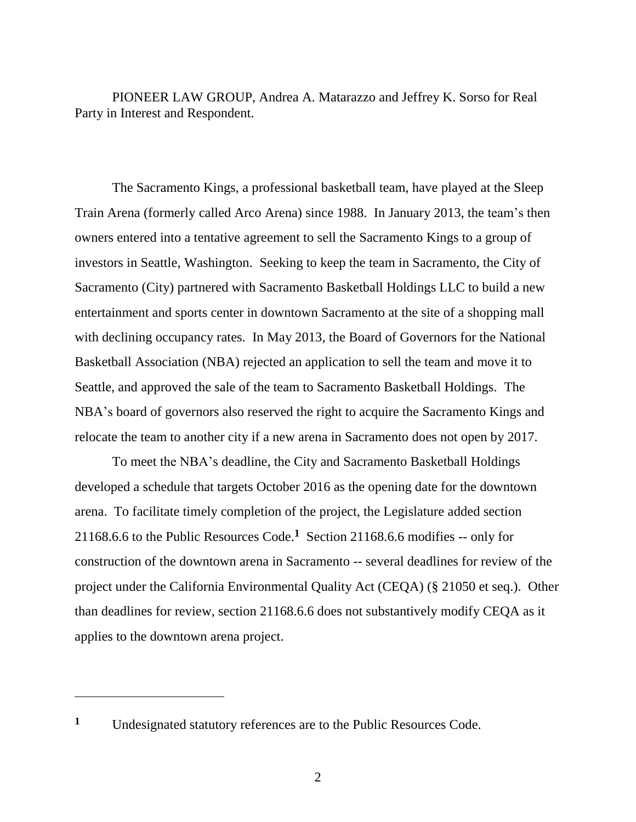PIONEER LAW GROUP, Andrea A. Matarazzo and Jeffrey K. Sorso for Real Party in Interest and Respondent.

The Sacramento Kings, a professional basketball team, have played at the Sleep Train Arena (formerly called Arco Arena) since 1988. In January 2013, the team's then owners entered into a tentative agreement to sell the Sacramento Kings to a group of investors in Seattle, Washington. Seeking to keep the team in Sacramento, the City of Sacramento (City) partnered with Sacramento Basketball Holdings LLC to build a new entertainment and sports center in downtown Sacramento at the site of a shopping mall with declining occupancy rates. In May 2013, the Board of Governors for the National Basketball Association (NBA) rejected an application to sell the team and move it to Seattle, and approved the sale of the team to Sacramento Basketball Holdings. The NBA's board of governors also reserved the right to acquire the Sacramento Kings and relocate the team to another city if a new arena in Sacramento does not open by 2017.

To meet the NBA's deadline, the City and Sacramento Basketball Holdings developed a schedule that targets October 2016 as the opening date for the downtown arena. To facilitate timely completion of the project, the Legislature added section 21168.6.6 to the Public Resources Code. **1** Section 21168.6.6 modifies -- only for construction of the downtown arena in Sacramento -- several deadlines for review of the project under the California Environmental Quality Act (CEQA) (§ 21050 et seq.). Other than deadlines for review, section 21168.6.6 does not substantively modify CEQA as it applies to the downtown arena project.

**<sup>1</sup>** Undesignated statutory references are to the Public Resources Code.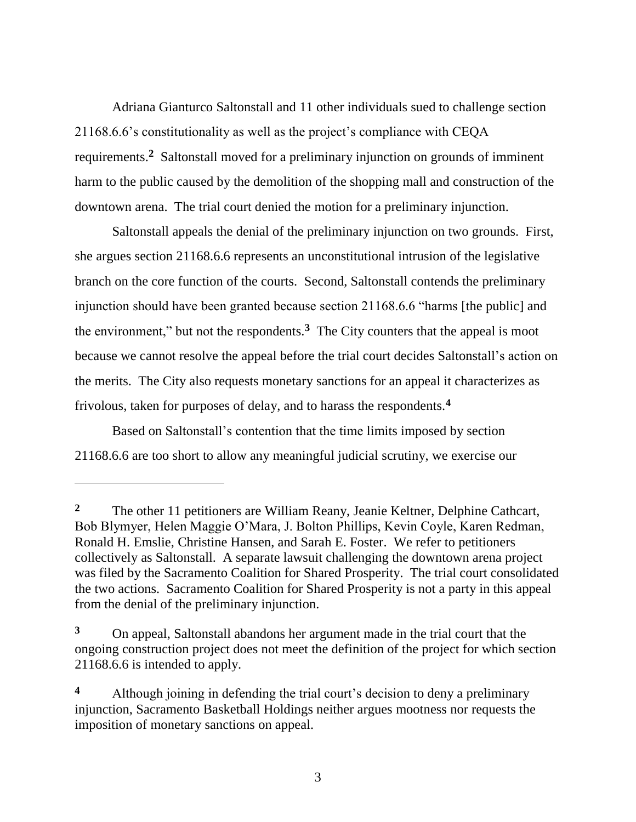Adriana Gianturco Saltonstall and 11 other individuals sued to challenge section 21168.6.6's constitutionality as well as the project's compliance with CEQA requirements.**<sup>2</sup>** Saltonstall moved for a preliminary injunction on grounds of imminent harm to the public caused by the demolition of the shopping mall and construction of the downtown arena. The trial court denied the motion for a preliminary injunction.

Saltonstall appeals the denial of the preliminary injunction on two grounds. First, she argues section 21168.6.6 represents an unconstitutional intrusion of the legislative branch on the core function of the courts. Second, Saltonstall contends the preliminary injunction should have been granted because section 21168.6.6 "harms [the public] and the environment," but not the respondents. $3$  The City counters that the appeal is moot because we cannot resolve the appeal before the trial court decides Saltonstall's action on the merits. The City also requests monetary sanctions for an appeal it characterizes as frivolous, taken for purposes of delay, and to harass the respondents.**<sup>4</sup>**

Based on Saltonstall's contention that the time limits imposed by section 21168.6.6 are too short to allow any meaningful judicial scrutiny, we exercise our

**<sup>2</sup>** The other 11 petitioners are William Reany, Jeanie Keltner, Delphine Cathcart, Bob Blymyer, Helen Maggie O'Mara, J. Bolton Phillips, Kevin Coyle, Karen Redman, Ronald H. Emslie, Christine Hansen, and Sarah E. Foster. We refer to petitioners collectively as Saltonstall. A separate lawsuit challenging the downtown arena project was filed by the Sacramento Coalition for Shared Prosperity. The trial court consolidated the two actions. Sacramento Coalition for Shared Prosperity is not a party in this appeal from the denial of the preliminary injunction.

**<sup>3</sup>** On appeal, Saltonstall abandons her argument made in the trial court that the ongoing construction project does not meet the definition of the project for which section 21168.6.6 is intended to apply.

**<sup>4</sup>** Although joining in defending the trial court's decision to deny a preliminary injunction, Sacramento Basketball Holdings neither argues mootness nor requests the imposition of monetary sanctions on appeal.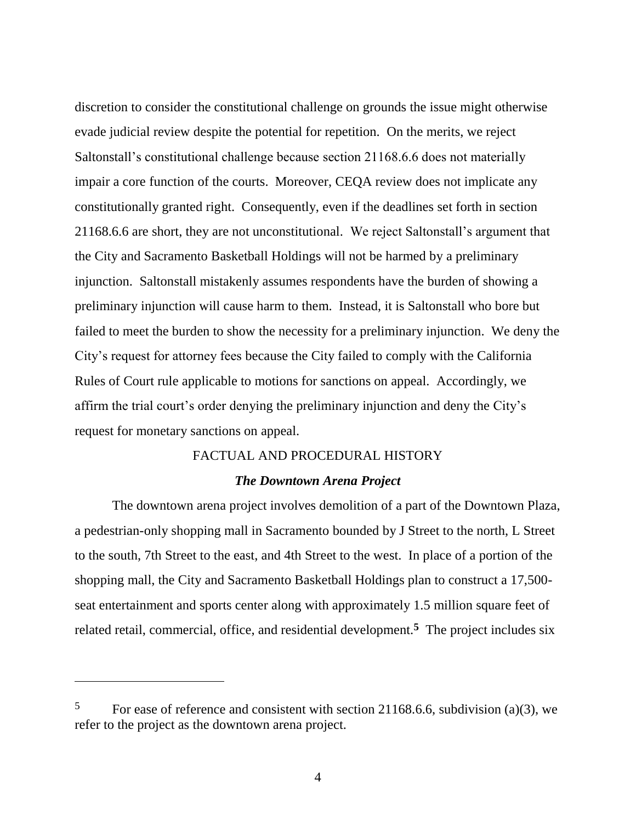discretion to consider the constitutional challenge on grounds the issue might otherwise evade judicial review despite the potential for repetition. On the merits, we reject Saltonstall's constitutional challenge because section 21168.6.6 does not materially impair a core function of the courts. Moreover, CEQA review does not implicate any constitutionally granted right. Consequently, even if the deadlines set forth in section 21168.6.6 are short, they are not unconstitutional. We reject Saltonstall's argument that the City and Sacramento Basketball Holdings will not be harmed by a preliminary injunction. Saltonstall mistakenly assumes respondents have the burden of showing a preliminary injunction will cause harm to them. Instead, it is Saltonstall who bore but failed to meet the burden to show the necessity for a preliminary injunction. We deny the City's request for attorney fees because the City failed to comply with the California Rules of Court rule applicable to motions for sanctions on appeal. Accordingly, we affirm the trial court's order denying the preliminary injunction and deny the City's request for monetary sanctions on appeal.

## FACTUAL AND PROCEDURAL HISTORY

# *The Downtown Arena Project*

The downtown arena project involves demolition of a part of the Downtown Plaza, a pedestrian-only shopping mall in Sacramento bounded by J Street to the north, L Street to the south, 7th Street to the east, and 4th Street to the west. In place of a portion of the shopping mall, the City and Sacramento Basketball Holdings plan to construct a 17,500 seat entertainment and sports center along with approximately 1.5 million square feet of related retail, commercial, office, and residential development.**<sup>5</sup>** The project includes six

<sup>&</sup>lt;sup>5</sup> For ease of reference and consistent with section 21168.6.6, subdivision (a)(3), we refer to the project as the downtown arena project.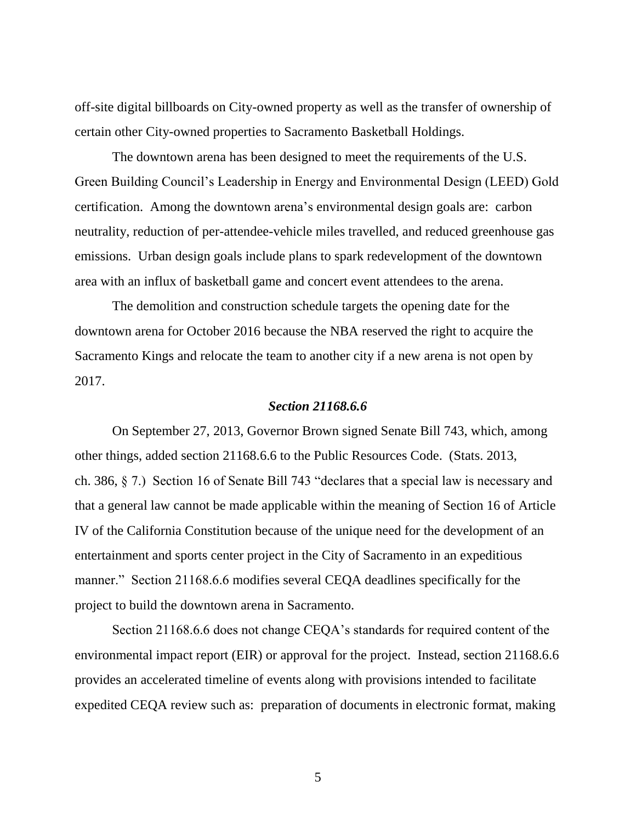off-site digital billboards on City-owned property as well as the transfer of ownership of certain other City-owned properties to Sacramento Basketball Holdings.

The downtown arena has been designed to meet the requirements of the U.S. Green Building Council's Leadership in Energy and Environmental Design (LEED) Gold certification. Among the downtown arena's environmental design goals are: carbon neutrality, reduction of per-attendee-vehicle miles travelled, and reduced greenhouse gas emissions. Urban design goals include plans to spark redevelopment of the downtown area with an influx of basketball game and concert event attendees to the arena.

The demolition and construction schedule targets the opening date for the downtown arena for October 2016 because the NBA reserved the right to acquire the Sacramento Kings and relocate the team to another city if a new arena is not open by 2017.

#### *Section 21168.6.6*

On September 27, 2013, Governor Brown signed Senate Bill 743, which, among other things, added section 21168.6.6 to the Public Resources Code. (Stats. 2013, ch. 386, § 7.) Section 16 of Senate Bill 743 "declares that a special law is necessary and that a general law cannot be made applicable within the meaning of Section 16 of Article IV of the California Constitution because of the unique need for the development of an entertainment and sports center project in the City of Sacramento in an expeditious manner." Section 21168.6.6 modifies several CEQA deadlines specifically for the project to build the downtown arena in Sacramento.

Section 21168.6.6 does not change CEQA's standards for required content of the environmental impact report (EIR) or approval for the project. Instead, section 21168.6.6 provides an accelerated timeline of events along with provisions intended to facilitate expedited CEQA review such as: preparation of documents in electronic format, making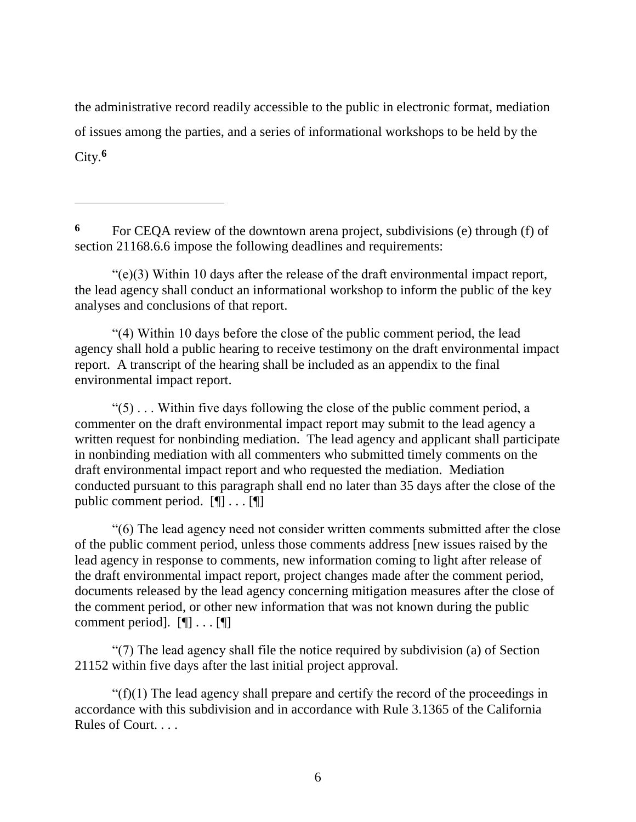the administrative record readily accessible to the public in electronic format, mediation of issues among the parties, and a series of informational workshops to be held by the City. **6**

**<sup>6</sup>** For CEQA review of the downtown arena project, subdivisions (e) through (f) of section 21168.6.6 impose the following deadlines and requirements:

 $\overline{a}$ 

"(e)(3) Within 10 days after the release of the draft environmental impact report, the lead agency shall conduct an informational workshop to inform the public of the key analyses and conclusions of that report.

"(4) Within 10 days before the close of the public comment period, the lead agency shall hold a public hearing to receive testimony on the draft environmental impact report. A transcript of the hearing shall be included as an appendix to the final environmental impact report.

 $\degree$ (5)  $\degree$ ... Within five days following the close of the public comment period, a commenter on the draft environmental impact report may submit to the lead agency a written request for nonbinding mediation. The lead agency and applicant shall participate in nonbinding mediation with all commenters who submitted timely comments on the draft environmental impact report and who requested the mediation. Mediation conducted pursuant to this paragraph shall end no later than 35 days after the close of the public comment period. [¶] . . . [¶]

"(6) The lead agency need not consider written comments submitted after the close of the public comment period, unless those comments address [new issues raised by the lead agency in response to comments, new information coming to light after release of the draft environmental impact report, project changes made after the comment period, documents released by the lead agency concerning mitigation measures after the close of the comment period, or other new information that was not known during the public comment period]. [¶] . . . [¶]

"(7) The lead agency shall file the notice required by subdivision (a) of Section 21152 within five days after the last initial project approval.

" $(f)(1)$  The lead agency shall prepare and certify the record of the proceedings in accordance with this subdivision and in accordance with Rule 3.1365 of the California Rules of Court. . . .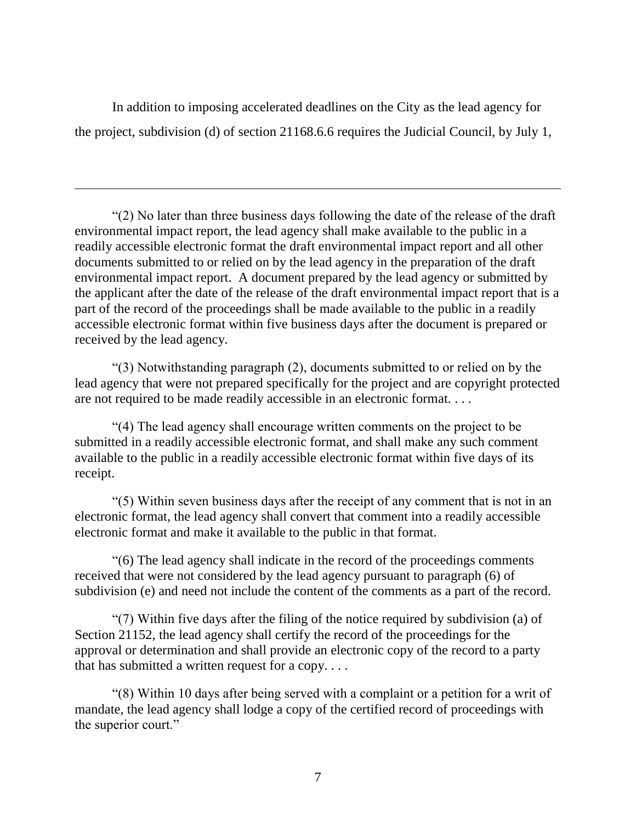In addition to imposing accelerated deadlines on the City as the lead agency for the project, subdivision (d) of section 21168.6.6 requires the Judicial Council, by July 1,

 $\overline{a}$ 

"(2) No later than three business days following the date of the release of the draft environmental impact report, the lead agency shall make available to the public in a readily accessible electronic format the draft environmental impact report and all other documents submitted to or relied on by the lead agency in the preparation of the draft environmental impact report. A document prepared by the lead agency or submitted by the applicant after the date of the release of the draft environmental impact report that is a part of the record of the proceedings shall be made available to the public in a readily accessible electronic format within five business days after the document is prepared or received by the lead agency.

"(3) Notwithstanding paragraph (2), documents submitted to or relied on by the lead agency that were not prepared specifically for the project and are copyright protected are not required to be made readily accessible in an electronic format. . . .

"(4) The lead agency shall encourage written comments on the project to be submitted in a readily accessible electronic format, and shall make any such comment available to the public in a readily accessible electronic format within five days of its receipt.

"(5) Within seven business days after the receipt of any comment that is not in an electronic format, the lead agency shall convert that comment into a readily accessible electronic format and make it available to the public in that format.

"(6) The lead agency shall indicate in the record of the proceedings comments received that were not considered by the lead agency pursuant to paragraph (6) of subdivision (e) and need not include the content of the comments as a part of the record.

"(7) Within five days after the filing of the notice required by subdivision (a) of Section 21152, the lead agency shall certify the record of the proceedings for the approval or determination and shall provide an electronic copy of the record to a party that has submitted a written request for a copy....

"(8) Within 10 days after being served with a complaint or a petition for a writ of mandate, the lead agency shall lodge a copy of the certified record of proceedings with the superior court."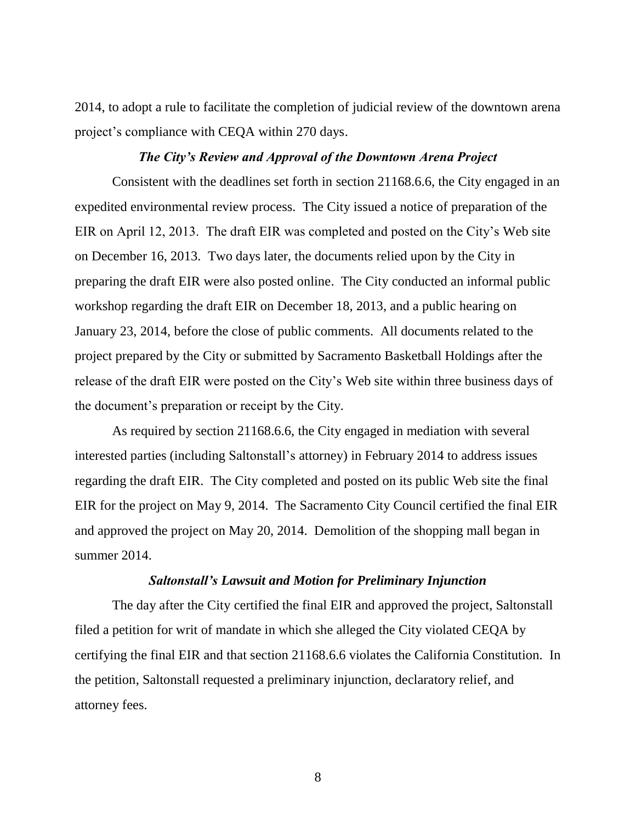2014, to adopt a rule to facilitate the completion of judicial review of the downtown arena project's compliance with CEQA within 270 days.

## *The City's Review and Approval of the Downtown Arena Project*

Consistent with the deadlines set forth in section 21168.6.6, the City engaged in an expedited environmental review process. The City issued a notice of preparation of the EIR on April 12, 2013. The draft EIR was completed and posted on the City's Web site on December 16, 2013. Two days later, the documents relied upon by the City in preparing the draft EIR were also posted online. The City conducted an informal public workshop regarding the draft EIR on December 18, 2013, and a public hearing on January 23, 2014, before the close of public comments. All documents related to the project prepared by the City or submitted by Sacramento Basketball Holdings after the release of the draft EIR were posted on the City's Web site within three business days of the document's preparation or receipt by the City.

As required by section 21168.6.6, the City engaged in mediation with several interested parties (including Saltonstall's attorney) in February 2014 to address issues regarding the draft EIR. The City completed and posted on its public Web site the final EIR for the project on May 9, 2014. The Sacramento City Council certified the final EIR and approved the project on May 20, 2014. Demolition of the shopping mall began in summer 2014.

## *Saltonstall's Lawsuit and Motion for Preliminary Injunction*

The day after the City certified the final EIR and approved the project, Saltonstall filed a petition for writ of mandate in which she alleged the City violated CEQA by certifying the final EIR and that section 21168.6.6 violates the California Constitution. In the petition, Saltonstall requested a preliminary injunction, declaratory relief, and attorney fees.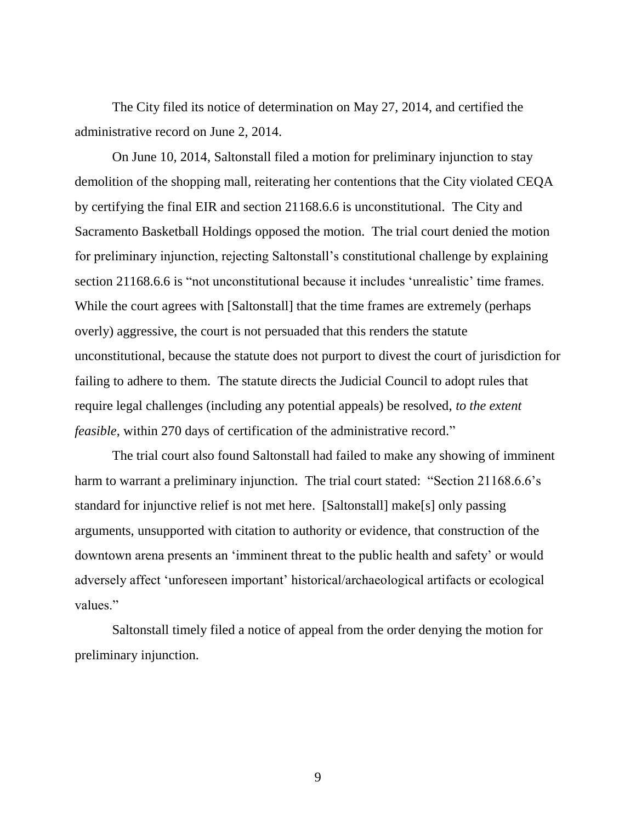The City filed its notice of determination on May 27, 2014, and certified the administrative record on June 2, 2014.

On June 10, 2014, Saltonstall filed a motion for preliminary injunction to stay demolition of the shopping mall, reiterating her contentions that the City violated CEQA by certifying the final EIR and section 21168.6.6 is unconstitutional. The City and Sacramento Basketball Holdings opposed the motion. The trial court denied the motion for preliminary injunction, rejecting Saltonstall's constitutional challenge by explaining section 21168.6.6 is "not unconstitutional because it includes 'unrealistic' time frames. While the court agrees with [Saltonstall] that the time frames are extremely (perhaps overly) aggressive, the court is not persuaded that this renders the statute unconstitutional, because the statute does not purport to divest the court of jurisdiction for failing to adhere to them. The statute directs the Judicial Council to adopt rules that require legal challenges (including any potential appeals) be resolved, *to the extent feasible*, within 270 days of certification of the administrative record."

The trial court also found Saltonstall had failed to make any showing of imminent harm to warrant a preliminary injunction. The trial court stated: "Section 21168.6.6's standard for injunctive relief is not met here. [Saltonstall] make[s] only passing arguments, unsupported with citation to authority or evidence, that construction of the downtown arena presents an 'imminent threat to the public health and safety' or would adversely affect 'unforeseen important' historical/archaeological artifacts or ecological values."

Saltonstall timely filed a notice of appeal from the order denying the motion for preliminary injunction.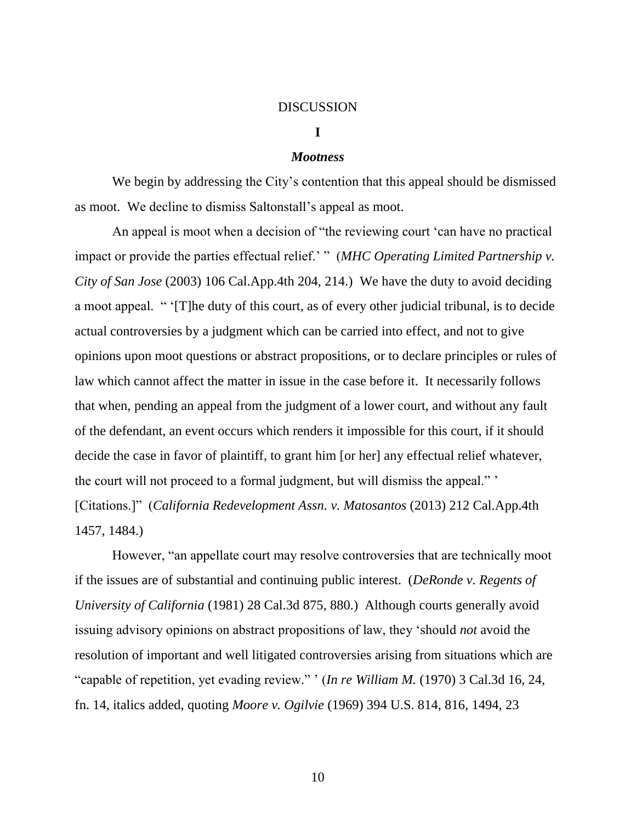#### DISCUSSION

## **I**

#### *Mootness*

We begin by addressing the City's contention that this appeal should be dismissed as moot. We decline to dismiss Saltonstall's appeal as moot.

An appeal is moot when a decision of "the reviewing court 'can have no practical impact or provide the parties effectual relief.' " (*MHC Operating Limited Partnership v. City of San Jose* (2003) 106 Cal.App.4th 204, 214.) We have the duty to avoid deciding a moot appeal. " '[T]he duty of this court, as of every other judicial tribunal, is to decide actual controversies by a judgment which can be carried into effect, and not to give opinions upon moot questions or abstract propositions, or to declare principles or rules of law which cannot affect the matter in issue in the case before it. It necessarily follows that when, pending an appeal from the judgment of a lower court, and without any fault of the defendant, an event occurs which renders it impossible for this court, if it should decide the case in favor of plaintiff, to grant him [or her] any effectual relief whatever, the court will not proceed to a formal judgment, but will dismiss the appeal." ' [Citations.]" (*California Redevelopment Assn. v. Matosantos* (2013) 212 Cal.App.4th

1457, 1484.)

However, "an appellate court may resolve controversies that are technically moot if the issues are of substantial and continuing public interest. (*DeRonde v. Regents of University of California* (1981) 28 Cal.3d 875, 880.) Although courts generally avoid issuing advisory opinions on abstract propositions of law, they 'should *not* avoid the resolution of important and well litigated controversies arising from situations which are "capable of repetition, yet evading review." ' (*In re William M.* (1970) 3 Cal.3d 16, 24, fn. 14, italics added, quoting *Moore v. Ogilvie* (1969) 394 U.S. 814, 816, 1494, 23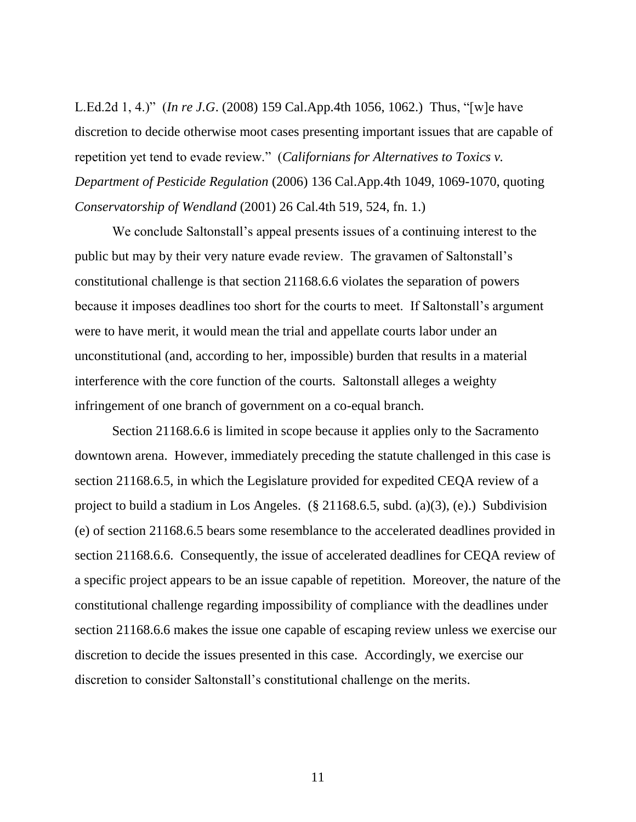L.Ed.2d 1, 4.)" (*In re J.G*. (2008) 159 Cal.App.4th 1056, 1062.) Thus, "[w]e have discretion to decide otherwise moot cases presenting important issues that are capable of repetition yet tend to evade review." (*Californians for Alternatives to Toxics v. Department of Pesticide Regulation* (2006) 136 Cal.App.4th 1049, 1069-1070, quoting *Conservatorship of Wendland* (2001) 26 Cal.4th 519, 524, fn. 1.)

We conclude Saltonstall's appeal presents issues of a continuing interest to the public but may by their very nature evade review. The gravamen of Saltonstall's constitutional challenge is that section 21168.6.6 violates the separation of powers because it imposes deadlines too short for the courts to meet. If Saltonstall's argument were to have merit, it would mean the trial and appellate courts labor under an unconstitutional (and, according to her, impossible) burden that results in a material interference with the core function of the courts. Saltonstall alleges a weighty infringement of one branch of government on a co-equal branch.

Section 21168.6.6 is limited in scope because it applies only to the Sacramento downtown arena. However, immediately preceding the statute challenged in this case is section 21168.6.5, in which the Legislature provided for expedited CEQA review of a project to build a stadium in Los Angeles. (§ 21168.6.5, subd. (a)(3), (e).) Subdivision (e) of section 21168.6.5 bears some resemblance to the accelerated deadlines provided in section 21168.6.6. Consequently, the issue of accelerated deadlines for CEQA review of a specific project appears to be an issue capable of repetition. Moreover, the nature of the constitutional challenge regarding impossibility of compliance with the deadlines under section 21168.6.6 makes the issue one capable of escaping review unless we exercise our discretion to decide the issues presented in this case. Accordingly, we exercise our discretion to consider Saltonstall's constitutional challenge on the merits.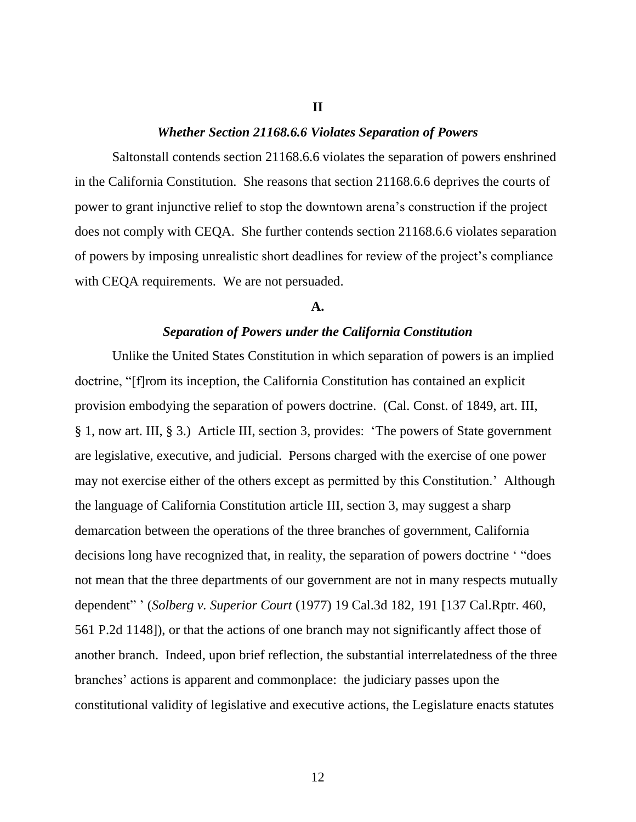#### **II**

### *Whether Section 21168.6.6 Violates Separation of Powers*

Saltonstall contends section 21168.6.6 violates the separation of powers enshrined in the California Constitution. She reasons that section 21168.6.6 deprives the courts of power to grant injunctive relief to stop the downtown arena's construction if the project does not comply with CEQA. She further contends section 21168.6.6 violates separation of powers by imposing unrealistic short deadlines for review of the project's compliance with CEQA requirements. We are not persuaded.

#### **A.**

#### *Separation of Powers under the California Constitution*

Unlike the United States Constitution in which separation of powers is an implied doctrine, "[f]rom its inception, the California Constitution has contained an explicit provision embodying the separation of powers doctrine. (Cal. Const. of 1849, art. III, § 1, now art. III, § 3.) Article III, section 3, provides: 'The powers of State government are legislative, executive, and judicial. Persons charged with the exercise of one power may not exercise either of the others except as permitted by this Constitution.' Although the language of California Constitution article III, section 3, may suggest a sharp demarcation between the operations of the three branches of government, California decisions long have recognized that, in reality, the separation of powers doctrine ' "does not mean that the three departments of our government are not in many respects mutually dependent" ' (*Solberg v. Superior Court* (1977) 19 Cal.3d 182, 191 [137 Cal.Rptr. 460, 561 P.2d 1148]), or that the actions of one branch may not significantly affect those of another branch. Indeed, upon brief reflection, the substantial interrelatedness of the three branches' actions is apparent and commonplace: the judiciary passes upon the constitutional validity of legislative and executive actions, the Legislature enacts statutes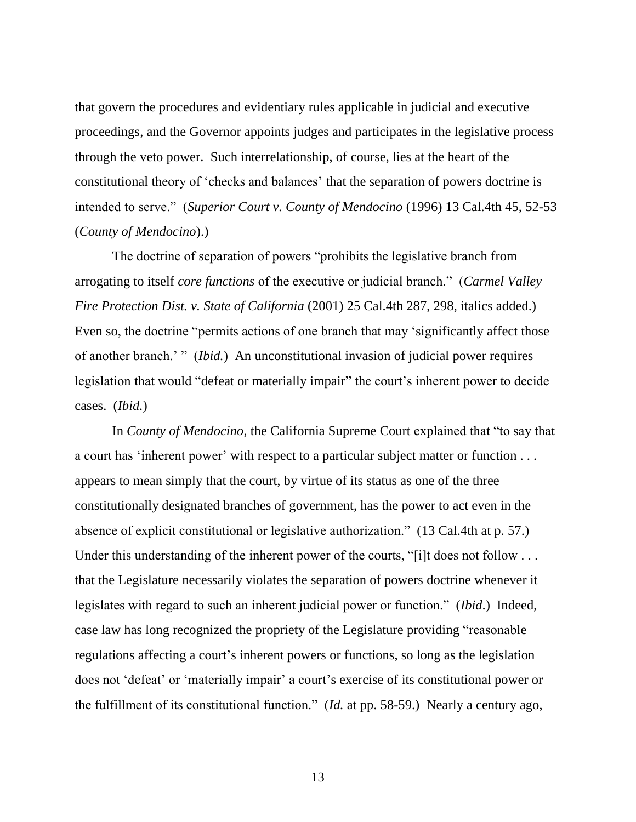that govern the procedures and evidentiary rules applicable in judicial and executive proceedings, and the Governor appoints judges and participates in the legislative process through the veto power. Such interrelationship, of course, lies at the heart of the constitutional theory of 'checks and balances' that the separation of powers doctrine is intended to serve." (*Superior Court v. County of Mendocino* (1996) 13 Cal.4th 45, 52-53 (*County of Mendocino*).)

The doctrine of separation of powers "prohibits the legislative branch from arrogating to itself *core functions* of the executive or judicial branch." (*Carmel Valley Fire Protection Dist. v. State of California* (2001) 25 Cal.4th 287, 298, italics added.) Even so, the doctrine "permits actions of one branch that may 'significantly affect those of another branch.' " (*Ibid.*) An unconstitutional invasion of judicial power requires legislation that would "defeat or materially impair" the court's inherent power to decide cases. (*Ibid.*)

In *County of Mendocino*, the California Supreme Court explained that "to say that a court has 'inherent power' with respect to a particular subject matter or function . . . appears to mean simply that the court, by virtue of its status as one of the three constitutionally designated branches of government, has the power to act even in the absence of explicit constitutional or legislative authorization." (13 Cal.4th at p. 57.) Under this understanding of the inherent power of the courts, "[i]t does not follow . . . that the Legislature necessarily violates the separation of powers doctrine whenever it legislates with regard to such an inherent judicial power or function." (*Ibid*.) Indeed, case law has long recognized the propriety of the Legislature providing "reasonable regulations affecting a court's inherent powers or functions, so long as the legislation does not 'defeat' or 'materially impair' a court's exercise of its constitutional power or the fulfillment of its constitutional function." (*Id.* at pp. 58-59.) Nearly a century ago,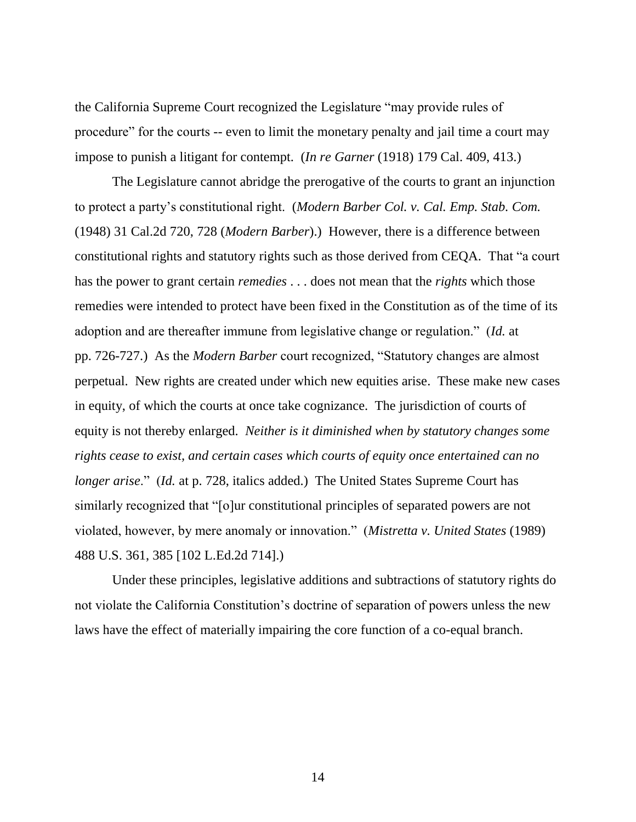the California Supreme Court recognized the Legislature "may provide rules of procedure" for the courts -- even to limit the monetary penalty and jail time a court may impose to punish a litigant for contempt. (*In re Garner* (1918) 179 Cal. 409, 413.)

The Legislature cannot abridge the prerogative of the courts to grant an injunction to protect a party's constitutional right. (*Modern Barber Col. v. Cal. Emp. Stab. Com.* (1948) 31 Cal.2d 720, 728 (*Modern Barber*).) However, there is a difference between constitutional rights and statutory rights such as those derived from CEQA. That "a court has the power to grant certain *remedies* . . . does not mean that the *rights* which those remedies were intended to protect have been fixed in the Constitution as of the time of its adoption and are thereafter immune from legislative change or regulation." (*Id.* at pp. 726-727.) As the *Modern Barber* court recognized, "Statutory changes are almost perpetual. New rights are created under which new equities arise. These make new cases in equity, of which the courts at once take cognizance. The jurisdiction of courts of equity is not thereby enlarged. *Neither is it diminished when by statutory changes some rights cease to exist, and certain cases which courts of equity once entertained can no longer arise*." (*Id.* at p. 728, italics added.) The United States Supreme Court has similarly recognized that "[o]ur constitutional principles of separated powers are not violated, however, by mere anomaly or innovation." (*Mistretta v. United States* (1989) 488 U.S. 361, 385 [102 L.Ed.2d 714].)

Under these principles, legislative additions and subtractions of statutory rights do not violate the California Constitution's doctrine of separation of powers unless the new laws have the effect of materially impairing the core function of a co-equal branch.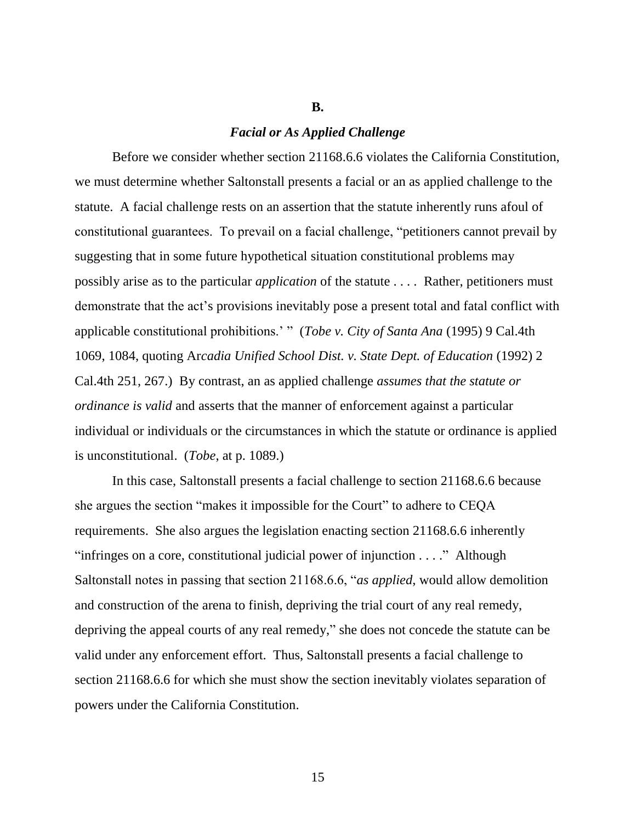#### **B.**

### *Facial or As Applied Challenge*

Before we consider whether section 21168.6.6 violates the California Constitution, we must determine whether Saltonstall presents a facial or an as applied challenge to the statute. A facial challenge rests on an assertion that the statute inherently runs afoul of constitutional guarantees. To prevail on a facial challenge, "petitioners cannot prevail by suggesting that in some future hypothetical situation constitutional problems may possibly arise as to the particular *application* of the statute . . . . Rather, petitioners must demonstrate that the act's provisions inevitably pose a present total and fatal conflict with applicable constitutional prohibitions.' " (*Tobe v. City of Santa Ana* (1995) 9 Cal.4th 1069, 1084, quoting Ar*cadia Unified School Dist. v. State Dept. of Education* (1992) 2 Cal.4th 251, 267.) By contrast, an as applied challenge *assumes that the statute or ordinance is valid* and asserts that the manner of enforcement against a particular individual or individuals or the circumstances in which the statute or ordinance is applied is unconstitutional. (*Tobe*, at p. 1089.)

In this case, Saltonstall presents a facial challenge to section 21168.6.6 because she argues the section "makes it impossible for the Court" to adhere to CEQA requirements. She also argues the legislation enacting section 21168.6.6 inherently "infringes on a core, constitutional judicial power of injunction . . . ." Although Saltonstall notes in passing that section 21168.6.6, "*as applied*, would allow demolition and construction of the arena to finish, depriving the trial court of any real remedy, depriving the appeal courts of any real remedy," she does not concede the statute can be valid under any enforcement effort. Thus, Saltonstall presents a facial challenge to section 21168.6.6 for which she must show the section inevitably violates separation of powers under the California Constitution.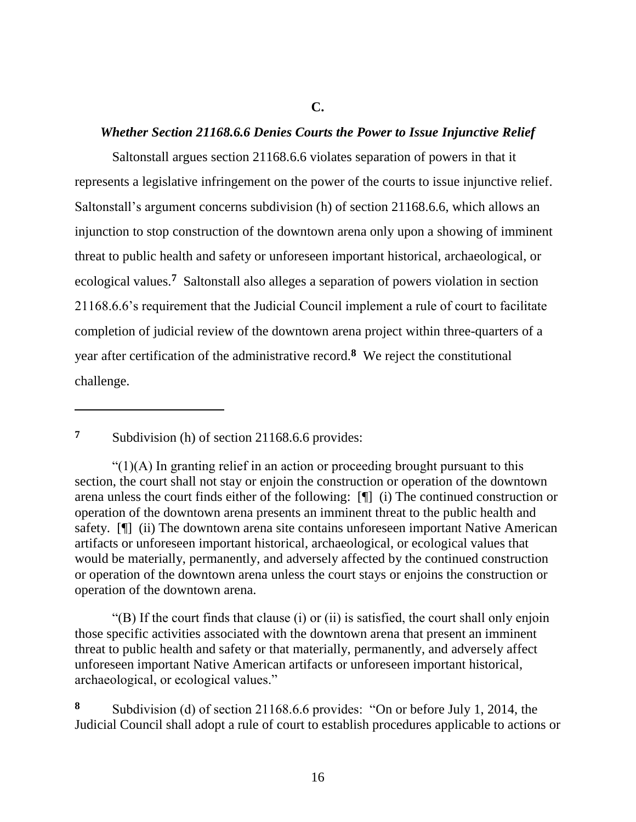## **C.**

# *Whether Section 21168.6.6 Denies Courts the Power to Issue Injunctive Relief*

Saltonstall argues section 21168.6.6 violates separation of powers in that it represents a legislative infringement on the power of the courts to issue injunctive relief. Saltonstall's argument concerns subdivision (h) of section 21168.6.6, which allows an injunction to stop construction of the downtown arena only upon a showing of imminent threat to public health and safety or unforeseen important historical, archaeological, or ecological values.**<sup>7</sup>** Saltonstall also alleges a separation of powers violation in section 21168.6.6's requirement that the Judicial Council implement a rule of court to facilitate completion of judicial review of the downtown arena project within three-quarters of a year after certification of the administrative record.**<sup>8</sup>** We reject the constitutional challenge.

**<sup>7</sup>** Subdivision (h) of section 21168.6.6 provides:

 $\overline{a}$ 

 $\Gamma(1)(A)$  In granting relief in an action or proceeding brought pursuant to this section, the court shall not stay or enjoin the construction or operation of the downtown arena unless the court finds either of the following: [¶] (i) The continued construction or operation of the downtown arena presents an imminent threat to the public health and safety. [¶] (ii) The downtown arena site contains unforeseen important Native American artifacts or unforeseen important historical, archaeological, or ecological values that would be materially, permanently, and adversely affected by the continued construction or operation of the downtown arena unless the court stays or enjoins the construction or operation of the downtown arena.

"(B) If the court finds that clause (i) or (ii) is satisfied, the court shall only enjoin those specific activities associated with the downtown arena that present an imminent threat to public health and safety or that materially, permanently, and adversely affect unforeseen important Native American artifacts or unforeseen important historical, archaeological, or ecological values."

**<sup>8</sup>** Subdivision (d) of section 21168.6.6 provides: "On or before July 1, 2014, the Judicial Council shall adopt a rule of court to establish procedures applicable to actions or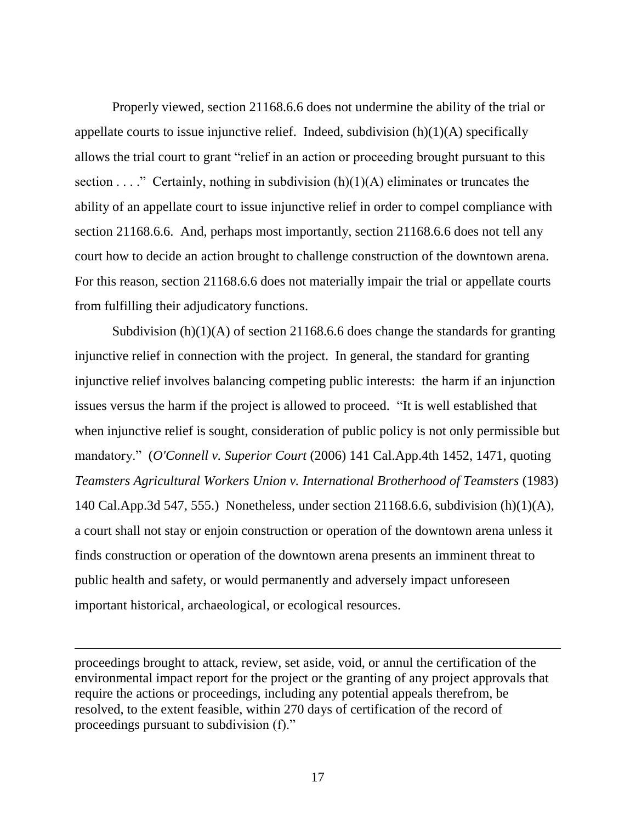Properly viewed, section 21168.6.6 does not undermine the ability of the trial or appellate courts to issue injunctive relief. Indeed, subdivision  $(h)(1)(A)$  specifically allows the trial court to grant "relief in an action or proceeding brought pursuant to this section  $\dots$ ." Certainly, nothing in subdivision (h)(1)(A) eliminates or truncates the ability of an appellate court to issue injunctive relief in order to compel compliance with section 21168.6.6. And, perhaps most importantly, section 21168.6.6 does not tell any court how to decide an action brought to challenge construction of the downtown arena. For this reason, section 21168.6.6 does not materially impair the trial or appellate courts from fulfilling their adjudicatory functions.

Subdivision (h)(1)(A) of section 21168.6.6 does change the standards for granting injunctive relief in connection with the project. In general, the standard for granting injunctive relief involves balancing competing public interests: the harm if an injunction issues versus the harm if the project is allowed to proceed. "It is well established that when injunctive relief is sought, consideration of public policy is not only permissible but mandatory." (*O'Connell v. Superior Court* (2006) 141 Cal.App.4th 1452, 1471, quoting *Teamsters Agricultural Workers Union v. International Brotherhood of Teamsters* (1983) 140 Cal.App.3d 547, 555.) Nonetheless, under section 21168.6.6, subdivision (h)(1)(A), a court shall not stay or enjoin construction or operation of the downtown arena unless it finds construction or operation of the downtown arena presents an imminent threat to public health and safety, or would permanently and adversely impact unforeseen important historical, archaeological, or ecological resources.

proceedings brought to attack, review, set aside, void, or annul the certification of the environmental impact report for the project or the granting of any project approvals that require the actions or proceedings, including any potential appeals therefrom, be resolved, to the extent feasible, within 270 days of certification of the record of proceedings pursuant to subdivision (f)."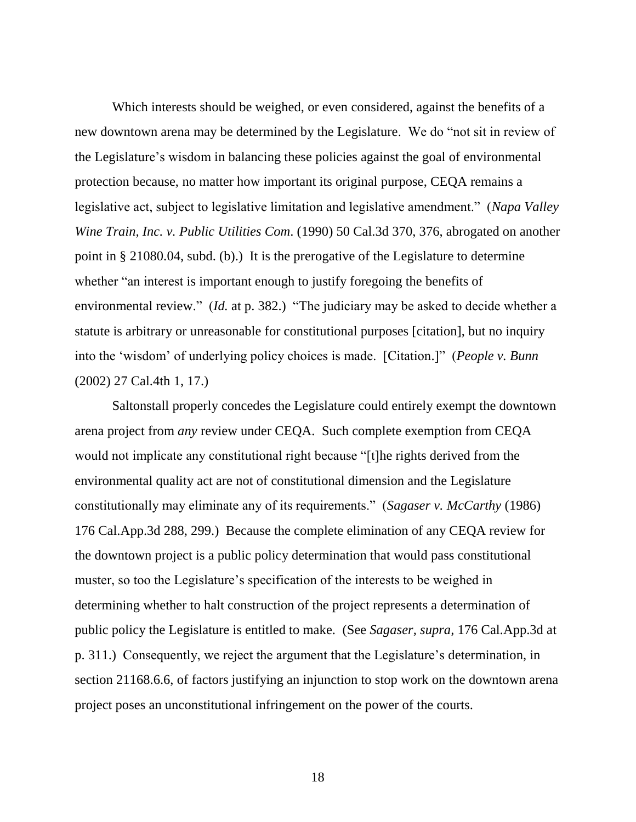Which interests should be weighed, or even considered, against the benefits of a new downtown arena may be determined by the Legislature. We do "not sit in review of the Legislature's wisdom in balancing these policies against the goal of environmental protection because, no matter how important its original purpose, CEQA remains a legislative act, subject to legislative limitation and legislative amendment." (*Napa Valley Wine Train, Inc. v. Public Utilities Com*. (1990) 50 Cal.3d 370, 376, abrogated on another point in § 21080.04, subd. (b).) It is the prerogative of the Legislature to determine whether "an interest is important enough to justify foregoing the benefits of environmental review." *(Id.* at p. 382.) "The judiciary may be asked to decide whether a statute is arbitrary or unreasonable for constitutional purposes [citation], but no inquiry into the 'wisdom' of underlying policy choices is made. [Citation.]" (*People v. Bunn* (2002) 27 Cal.4th 1, 17.)

Saltonstall properly concedes the Legislature could entirely exempt the downtown arena project from *any* review under CEQA. Such complete exemption from CEQA would not implicate any constitutional right because "[t]he rights derived from the environmental quality act are not of constitutional dimension and the Legislature constitutionally may eliminate any of its requirements." (*Sagaser v. McCarthy* (1986) 176 Cal.App.3d 288, 299.) Because the complete elimination of any CEQA review for the downtown project is a public policy determination that would pass constitutional muster, so too the Legislature's specification of the interests to be weighed in determining whether to halt construction of the project represents a determination of public policy the Legislature is entitled to make. (See *Sagaser, supra,* 176 Cal.App.3d at p. 311.) Consequently, we reject the argument that the Legislature's determination, in section 21168.6.6, of factors justifying an injunction to stop work on the downtown arena project poses an unconstitutional infringement on the power of the courts.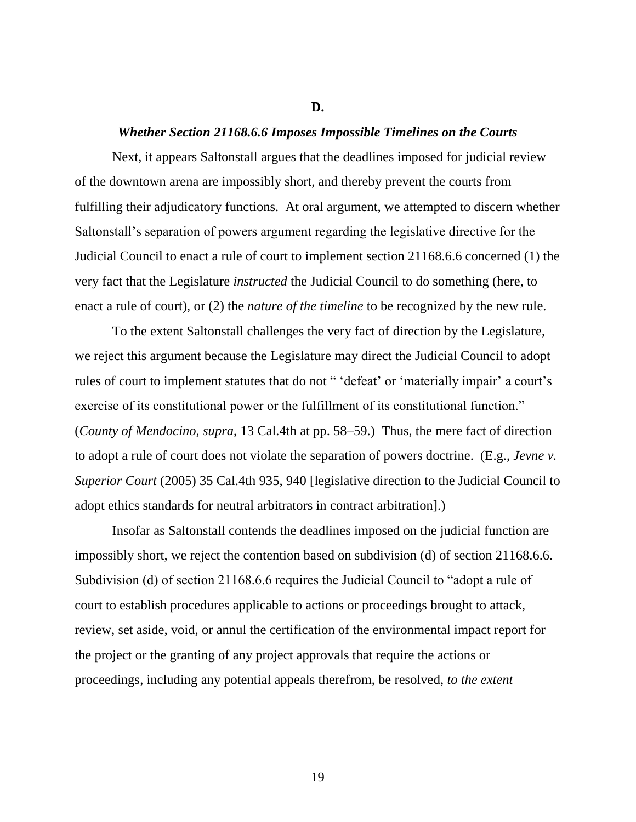#### **D.**

### *Whether Section 21168.6.6 Imposes Impossible Timelines on the Courts*

Next, it appears Saltonstall argues that the deadlines imposed for judicial review of the downtown arena are impossibly short, and thereby prevent the courts from fulfilling their adjudicatory functions. At oral argument, we attempted to discern whether Saltonstall's separation of powers argument regarding the legislative directive for the Judicial Council to enact a rule of court to implement section 21168.6.6 concerned (1) the very fact that the Legislature *instructed* the Judicial Council to do something (here, to enact a rule of court), or (2) the *nature of the timeline* to be recognized by the new rule.

To the extent Saltonstall challenges the very fact of direction by the Legislature, we reject this argument because the Legislature may direct the Judicial Council to adopt rules of court to implement statutes that do not " 'defeat' or 'materially impair' a court's exercise of its constitutional power or the fulfillment of its constitutional function." (*County of Mendocino, supra*, 13 Cal.4th at pp. 58–59.) Thus, the mere fact of direction to adopt a rule of court does not violate the separation of powers doctrine. (E.g., *Jevne v. Superior Court* (2005) 35 Cal.4th 935, 940 [legislative direction to the Judicial Council to adopt ethics standards for neutral arbitrators in contract arbitration].)

Insofar as Saltonstall contends the deadlines imposed on the judicial function are impossibly short, we reject the contention based on subdivision (d) of section 21168.6.6. Subdivision (d) of section 21168.6.6 requires the Judicial Council to "adopt a rule of court to establish procedures applicable to actions or proceedings brought to attack, review, set aside, void, or annul the certification of the environmental impact report for the project or the granting of any project approvals that require the actions or proceedings, including any potential appeals therefrom, be resolved, *to the extent*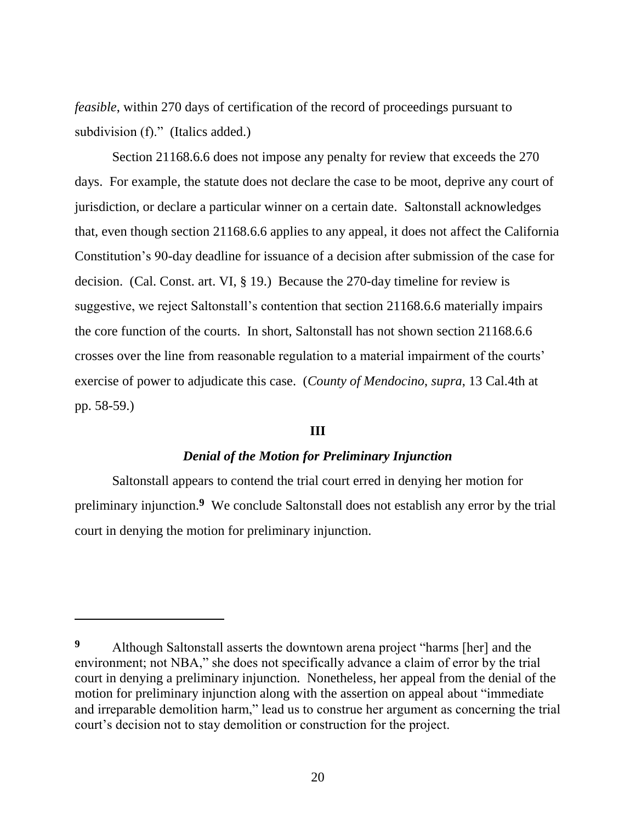*feasible*, within 270 days of certification of the record of proceedings pursuant to subdivision (f)." (Italics added.)

Section 21168.6.6 does not impose any penalty for review that exceeds the 270 days. For example, the statute does not declare the case to be moot, deprive any court of jurisdiction, or declare a particular winner on a certain date. Saltonstall acknowledges that, even though section 21168.6.6 applies to any appeal, it does not affect the California Constitution's 90-day deadline for issuance of a decision after submission of the case for decision. (Cal. Const. art. VI, § 19.) Because the 270-day timeline for review is suggestive, we reject Saltonstall's contention that section 21168.6.6 materially impairs the core function of the courts. In short, Saltonstall has not shown section 21168.6.6 crosses over the line from reasonable regulation to a material impairment of the courts' exercise of power to adjudicate this case. (*County of Mendocino*, *supra*, 13 Cal.4th at pp. 58-59.)

#### **III**

## *Denial of the Motion for Preliminary Injunction*

Saltonstall appears to contend the trial court erred in denying her motion for preliminary injunction. **<sup>9</sup>** We conclude Saltonstall does not establish any error by the trial court in denying the motion for preliminary injunction.

**<sup>9</sup>** Although Saltonstall asserts the downtown arena project "harms [her] and the environment; not NBA," she does not specifically advance a claim of error by the trial court in denying a preliminary injunction. Nonetheless, her appeal from the denial of the motion for preliminary injunction along with the assertion on appeal about "immediate and irreparable demolition harm," lead us to construe her argument as concerning the trial court's decision not to stay demolition or construction for the project.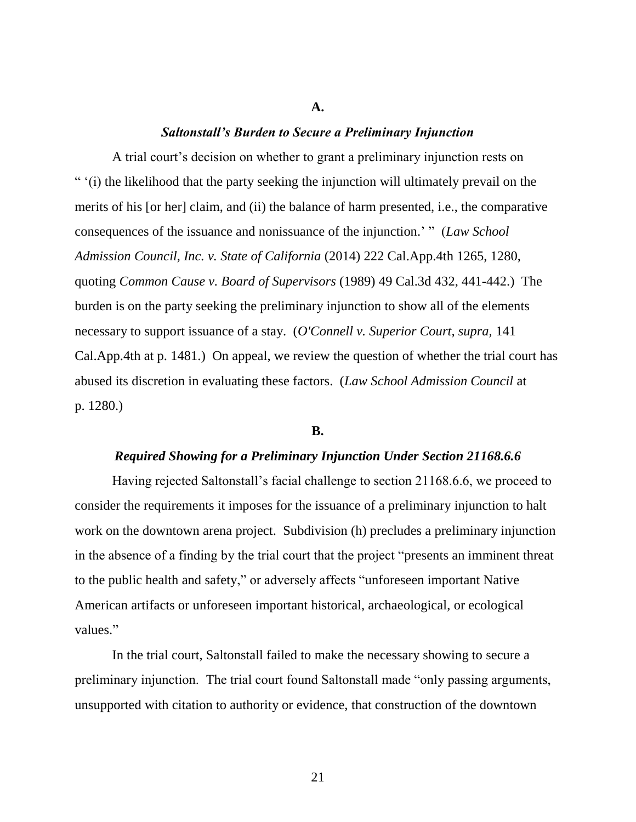#### **A.**

#### *Saltonstall's Burden to Secure a Preliminary Injunction*

A trial court's decision on whether to grant a preliminary injunction rests on " '(i) the likelihood that the party seeking the injunction will ultimately prevail on the merits of his [or her] claim, and (ii) the balance of harm presented, i.e., the comparative consequences of the issuance and nonissuance of the injunction.' " (*Law School Admission Council, Inc. v. State of California* (2014) 222 Cal.App.4th 1265, 1280, quoting *Common Cause v. Board of Supervisors* (1989) 49 Cal.3d 432, 441-442.) The burden is on the party seeking the preliminary injunction to show all of the elements necessary to support issuance of a stay. (*O'Connell v. Superior Court, supra,* 141 Cal.App.4th at p. 1481.) On appeal, we review the question of whether the trial court has abused its discretion in evaluating these factors. (*Law School Admission Council* at p. 1280.)

#### **B.**

#### *Required Showing for a Preliminary Injunction Under Section 21168.6.6*

Having rejected Saltonstall's facial challenge to section 21168.6.6, we proceed to consider the requirements it imposes for the issuance of a preliminary injunction to halt work on the downtown arena project. Subdivision (h) precludes a preliminary injunction in the absence of a finding by the trial court that the project "presents an imminent threat to the public health and safety," or adversely affects "unforeseen important Native American artifacts or unforeseen important historical, archaeological, or ecological values."

In the trial court, Saltonstall failed to make the necessary showing to secure a preliminary injunction. The trial court found Saltonstall made "only passing arguments, unsupported with citation to authority or evidence, that construction of the downtown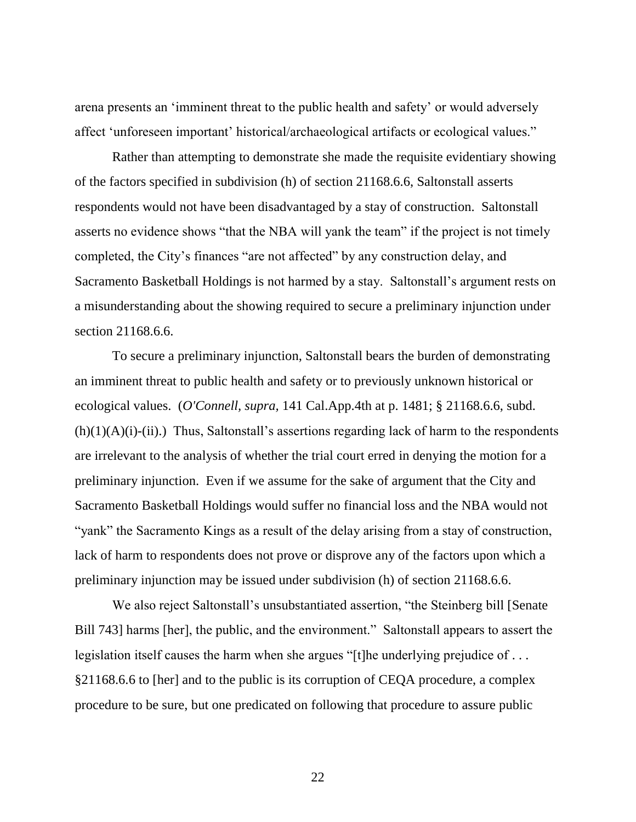arena presents an 'imminent threat to the public health and safety' or would adversely affect 'unforeseen important' historical/archaeological artifacts or ecological values."

Rather than attempting to demonstrate she made the requisite evidentiary showing of the factors specified in subdivision (h) of section 21168.6.6, Saltonstall asserts respondents would not have been disadvantaged by a stay of construction. Saltonstall asserts no evidence shows "that the NBA will yank the team" if the project is not timely completed, the City's finances "are not affected" by any construction delay, and Sacramento Basketball Holdings is not harmed by a stay. Saltonstall's argument rests on a misunderstanding about the showing required to secure a preliminary injunction under section 21168.6.6.

To secure a preliminary injunction, Saltonstall bears the burden of demonstrating an imminent threat to public health and safety or to previously unknown historical or ecological values. (*O'Connell, supra,* 141 Cal.App.4th at p. 1481; § 21168.6.6, subd.  $(h)(1)(A)(i)-(ii)$ .) Thus, Saltonstall's assertions regarding lack of harm to the respondents are irrelevant to the analysis of whether the trial court erred in denying the motion for a preliminary injunction. Even if we assume for the sake of argument that the City and Sacramento Basketball Holdings would suffer no financial loss and the NBA would not "yank" the Sacramento Kings as a result of the delay arising from a stay of construction, lack of harm to respondents does not prove or disprove any of the factors upon which a preliminary injunction may be issued under subdivision (h) of section 21168.6.6.

We also reject Saltonstall's unsubstantiated assertion, "the Steinberg bill [Senate Bill 743] harms [her], the public, and the environment." Saltonstall appears to assert the legislation itself causes the harm when she argues "[t]he underlying prejudice of . . . §21168.6.6 to [her] and to the public is its corruption of CEQA procedure, a complex procedure to be sure, but one predicated on following that procedure to assure public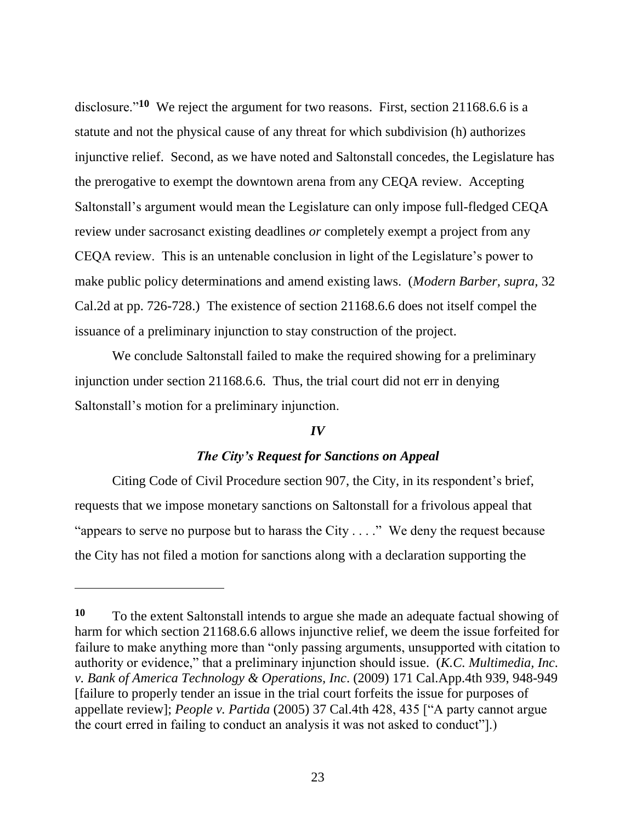disclosure."**<sup>10</sup>** We reject the argument for two reasons. First, section 21168.6.6 is a statute and not the physical cause of any threat for which subdivision (h) authorizes injunctive relief. Second, as we have noted and Saltonstall concedes, the Legislature has the prerogative to exempt the downtown arena from any CEQA review. Accepting Saltonstall's argument would mean the Legislature can only impose full-fledged CEQA review under sacrosanct existing deadlines *or* completely exempt a project from any CEQA review. This is an untenable conclusion in light of the Legislature's power to make public policy determinations and amend existing laws. (*Modern Barber, supra,* 32 Cal.2d at pp. 726-728.) The existence of section 21168.6.6 does not itself compel the issuance of a preliminary injunction to stay construction of the project.

We conclude Saltonstall failed to make the required showing for a preliminary injunction under section 21168.6.6. Thus, the trial court did not err in denying Saltonstall's motion for a preliminary injunction.

#### *IV*

## *The City's Request for Sanctions on Appeal*

Citing Code of Civil Procedure section 907, the City, in its respondent's brief, requests that we impose monetary sanctions on Saltonstall for a frivolous appeal that "appears to serve no purpose but to harass the City . . . ." We deny the request because the City has not filed a motion for sanctions along with a declaration supporting the

**<sup>10</sup>** To the extent Saltonstall intends to argue she made an adequate factual showing of harm for which section 21168.6.6 allows injunctive relief, we deem the issue forfeited for failure to make anything more than "only passing arguments, unsupported with citation to authority or evidence," that a preliminary injunction should issue. (*K.C. Multimedia, Inc. v. Bank of America Technology & Operations, Inc*. (2009) 171 Cal.App.4th 939, 948-949 [failure to properly tender an issue in the trial court forfeits the issue for purposes of appellate review]; *People v. Partida* (2005) 37 Cal.4th 428, 435 ["A party cannot argue the court erred in failing to conduct an analysis it was not asked to conduct"].)